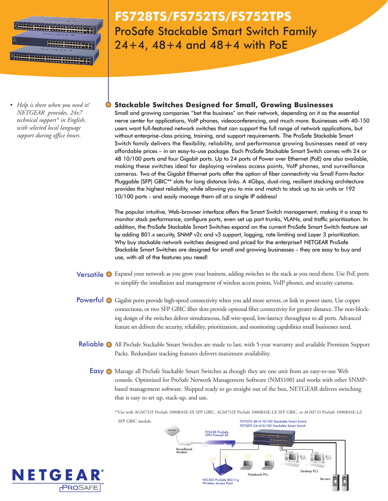

*• Help is there when you need it! NETGEAR provides, 24x7 technical support\* in English, with selected local language support during office hours.*

# **FS728TS/FS752TS/FS752TPS** ProSafe Stackable Smart Switch Family 24+4, 48+4 and 48+4 with PoE

# **Stackable Switches Designed for Small, Growing Businesses**

Small and growing companies "bet the business" on their network, depending on it as the essential nerve center for applications, VoIP phones, videoconferencing, and much more. Businesses with 40-150 users want full-featured network switches that can support the full range of network applications, but without enterprise-class pricing, training, and support requirements. The ProSafe Stackable Smart Switch family delivers the flexibility, reliability, and performance growing businesses need at very affordable prices – in an easy-to-use package. Each ProSafe Stackable Smart Switch comes with 24 or 48 10/100 ports and four Gigabit ports. Up to 24 ports of Power over Ethernet (PoE) are also available, making these switches ideal for deploying wireless access points, VoIP phones, and surveillance cameras. Two of the Gigabit Ethernet ports offer the option of fiber connectivity via Small Form-factor Pluggable (SFP) GBIC\*\* slots for long distance links. A 4Gbps, dual-ring, resilient stacking architecture provides the highest reliability, while allowing you to mix and match to stack up to six units or 192 10/100 ports - and easily manage them all at a single IP address!

The popular intuitive, Web-browser interface offers the Smart Switch management, making it a snap to monitor stack performance, configure ports, even set up port trunks, VLANs, and traffic prioritization. In addition, the ProSafe Stackable Smart Switches expand on the current ProSafe Smart Switch feature set by adding 801.x security, SNMP v2c and v3 support, logging, rate limiting and Layer 3 prioritization. Why buy stackable network switches designed and priced for the enterprise? NETGEAR ProSafe Stackable Smart Switches are designed for small and growing businesses – they are easy to buy and use, with all of the features you need!

- Versatile  $\bigcirc$  Expand your network as you grow your business, adding switches to the stack as you need them. Use PoE ports to simplify the installation and management of wireless access points, VoIP phones, and security cameras.
- Powerful  $\bigcirc$  Gigabit ports provide high-speed connectivity when you add more servers, or link in power users. Use copper connections, or two SFP GBIC fiber slots provide optional fiber connectivity for greater distance. The non-blocking design of the switches deliver simultaneous, full wire-speed, low-latency throughput to all ports. Advanced feature set delivers the security, reliability, prioritization, and monitoring capabilities small businesses need.
- Reliable O All ProSafe Stackable Smart Switches are made to last, with 5-year warranty and available Premium Support Packs. Redundant stacking features delivers maximum availability.
	- Easy  $\bigcirc$  Manage all ProSafe Stackable Smart Switches as though they are one unit from an easy-to-use Web console. Optimized for ProSafe Network Management Software (NMS100) and works with other SNMPbased management software. Shipped ready to go straight out of the box, NETGEAR delivers switching that is easy to set up, stack-up, and use.

\*\*Use with AGM731F ProSafe 1000BASE-SX SFP GBIC, AGM732F ProSafe 1000BASE-LX SFP GBIC, or AGM733 ProSafe 1000BASE-LZ





SFP GBIC module